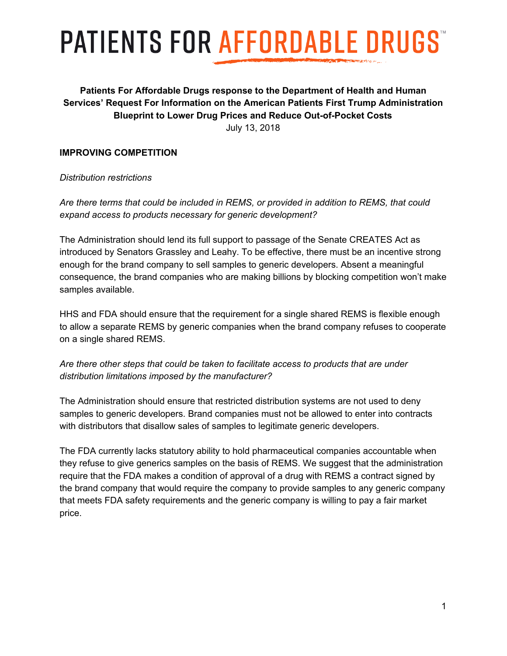# **PATIENTS FOR AFFORDABLE DRUGS**

## **Patients For Affordable Drugs response to the Department of Health and Human Services' Request For Information on the American Patients First Trump Administration Blueprint to Lower Drug Prices and Reduce Out-of-Pocket Costs** July 13, 2018

#### **IMPROVING COMPETITION**

#### *Distribution restrictions*

*Are there terms that could be included in REMS, or provided in addition to REMS, that could expand access to products necessary for generic development?*

The Administration should lend its full support to passage of the Senate CREATES Act as introduced by Senators Grassley and Leahy. To be effective, there must be an incentive strong enough for the brand company to sell samples to generic developers. Absent a meaningful consequence, the brand companies who are making billions by blocking competition won't make samples available.

HHS and FDA should ensure that the requirement for a single shared REMS is flexible enough to allow a separate REMS by generic companies when the brand company refuses to cooperate on a single shared REMS.

*Are there other steps that could be taken to facilitate access to products that are under distribution limitations imposed by the manufacturer?*

The Administration should ensure that restricted distribution systems are not used to deny samples to generic developers. Brand companies must not be allowed to enter into contracts with distributors that disallow sales of samples to legitimate generic developers.

The FDA currently lacks statutory ability to hold pharmaceutical companies accountable when they refuse to give generics samples on the basis of REMS. We suggest that the administration require that the FDA makes a condition of approval of a drug with REMS a contract signed by the brand company that would require the company to provide samples to any generic company that meets FDA safety requirements and the generic company is willing to pay a fair market price.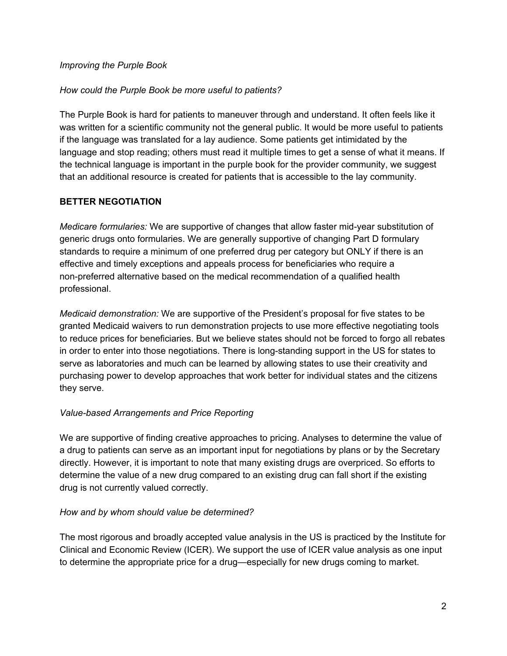#### *Improving the Purple Book*

#### *How could the Purple Book be more useful to patients?*

The Purple Book is hard for patients to maneuver through and understand. It often feels like it was written for a scientific community not the general public. It would be more useful to patients if the language was translated for a lay audience. Some patients get intimidated by the language and stop reading; others must read it multiple times to get a sense of what it means. If the technical language is important in the purple book for the provider community, we suggest that an additional resource is created for patients that is accessible to the lay community.

#### **BETTER NEGOTIATION**

*Medicare formularies:* We are supportive of changes that allow faster mid-year substitution of generic drugs onto formularies. We are generally supportive of changing Part D formulary standards to require a minimum of one preferred drug per category but ONLY if there is an effective and timely exceptions and appeals process for beneficiaries who require a non-preferred alternative based on the medical recommendation of a qualified health professional.

*Medicaid demonstration:* We are supportive of the President's proposal for five states to be granted Medicaid waivers to run demonstration projects to use more effective negotiating tools to reduce prices for beneficiaries. But we believe states should not be forced to forgo all rebates in order to enter into those negotiations. There is long-standing support in the US for states to serve as laboratories and much can be learned by allowing states to use their creativity and purchasing power to develop approaches that work better for individual states and the citizens they serve.

## *Value-based Arrangements and Price Reporting*

We are supportive of finding creative approaches to pricing. Analyses to determine the value of a drug to patients can serve as an important input for negotiations by plans or by the Secretary directly. However, it is important to note that many existing drugs are overpriced. So efforts to determine the value of a new drug compared to an existing drug can fall short if the existing drug is not currently valued correctly.

#### *How and by whom should value be determined?*

The most rigorous and broadly accepted value analysis in the US is practiced by the Institute for Clinical and Economic Review (ICER). We support the use of ICER value analysis as one input to determine the appropriate price for a drug—especially for new drugs coming to market.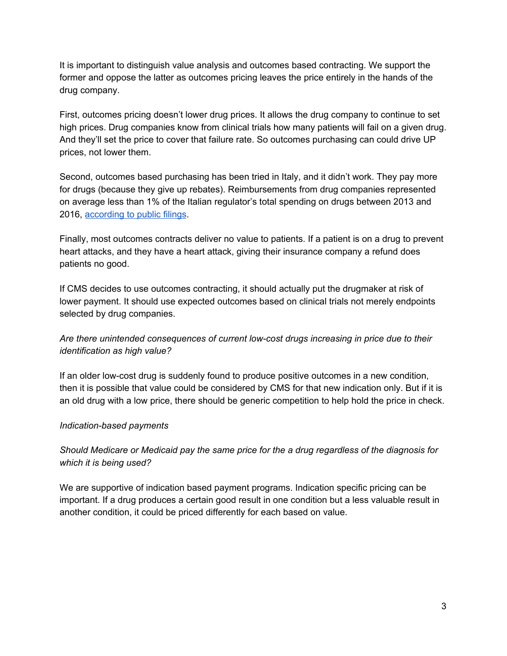It is important to distinguish value analysis and outcomes based contracting. We support the former and oppose the latter as outcomes pricing leaves the price entirely in the hands of the drug company.

First, outcomes pricing doesn't lower drug prices. It allows the drug company to continue to set high prices. Drug companies know from clinical trials how many patients will fail on a given drug. And they'll set the price to cover that failure rate. So outcomes purchasing can could drive UP prices, not lower them.

Second, outcomes based purchasing has been tried in Italy, and it didn't work. They pay more for drugs (because they give up rebates). Reimbursements from drug companies represented on average less than 1% of the Italian regulator's total spending on drugs between 2013 and 2016, [according](https://www.wsj.com/articles/italy-serves-cautionary-lesson-for-new-trump-drug-plan-1523959644) to public filings.

Finally, most outcomes contracts deliver no value to patients. If a patient is on a drug to prevent heart attacks, and they have a heart attack, giving their insurance company a refund does patients no good.

If CMS decides to use outcomes contracting, it should actually put the drugmaker at risk of lower payment. It should use expected outcomes based on clinical trials not merely endpoints selected by drug companies.

*Are there unintended consequences of current low-cost drugs increasing in price due to their identification as high value?*

If an older low-cost drug is suddenly found to produce positive outcomes in a new condition, then it is possible that value could be considered by CMS for that new indication only. But if it is an old drug with a low price, there should be generic competition to help hold the price in check.

## *Indication-based payments*

*Should Medicare or Medicaid pay the same price for the a drug regardless of the diagnosis for which it is being used?*

We are supportive of indication based payment programs. Indication specific pricing can be important. If a drug produces a certain good result in one condition but a less valuable result in another condition, it could be priced differently for each based on value.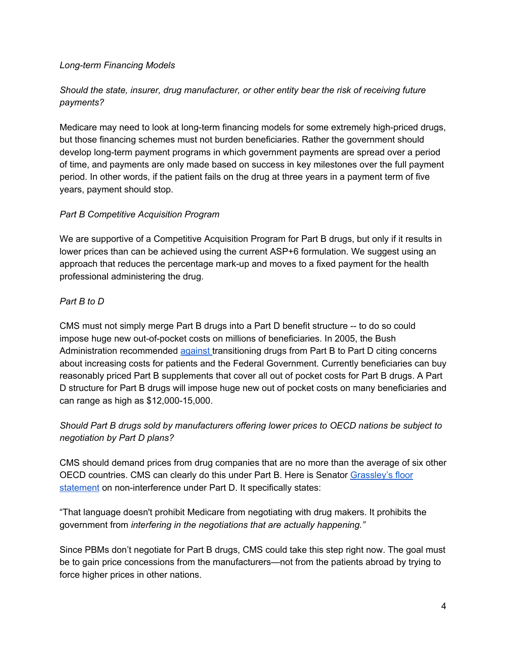#### *Long-term Financing Models*

# *Should the state, insurer, drug manufacturer, or other entity bear the risk of receiving future payments?*

Medicare may need to look at long-term financing models for some extremely high-priced drugs, but those financing schemes must not burden beneficiaries. Rather the government should develop long-term payment programs in which government payments are spread over a period of time, and payments are only made based on success in key milestones over the full payment period. In other words, if the patient fails on the drug at three years in a payment term of five years, payment should stop.

## *Part B Competitive Acquisition Program*

We are supportive of a Competitive Acquisition Program for Part B drugs, but only if it results in lower prices than can be achieved using the current ASP+6 formulation. We suggest using an approach that reduces the percentage mark-up and moves to a fixed payment for the health professional administering the drug.

## *Part B to D*

CMS must not simply merge Part B drugs into a Part D benefit structure -- to do so could impose huge new out-of-pocket costs on millions of beneficiaries. In 2005, the Bush Administration recommended [against](https://www.cms.gov/Research-Statistics-Data-and-Systems/Statistics-Trends-and-Reports/Reports/Downloads/RtC_PtbtoPtD_2005_4.pdf) transitioning drugs from Part B to Part D citing concerns about increasing costs for patients and the Federal Government. Currently beneficiaries can buy reasonably priced Part B supplements that cover all out of pocket costs for Part B drugs. A Part D structure for Part B drugs will impose huge new out of pocket costs on many beneficiaries and can range as high as \$12,000-15,000.

*Should Part B drugs sold by manufacturers offering lower prices to OECD nations be subject to negotiation by Part D plans?*

CMS should demand prices from drug companies that are no more than the average of six other OECD countries. CMS can clearly do this under Part B. Here is Senato[r](https://www.finance.senate.gov/newsroom/ranking/senator-grassleys-floor-statement-on-the-history-of-the-medicare-part-d-non-interference-clause) [Grassley's](https://www.finance.senate.gov/newsroom/ranking/senator-grassleys-floor-statement-on-the-history-of-the-medicare-part-d-non-interference-clause) floor [statement](https://www.finance.senate.gov/newsroom/ranking/senator-grassleys-floor-statement-on-the-history-of-the-medicare-part-d-non-interference-clause) on non-interference under Part D. It specifically states:

"That language doesn't prohibit Medicare from negotiating with drug makers. It prohibits the government from *interfering in the negotiations that are actually happening."*

Since PBMs don't negotiate for Part B drugs, CMS could take this step right now. The goal must be to gain price concessions from the manufacturers—not from the patients abroad by trying to force higher prices in other nations.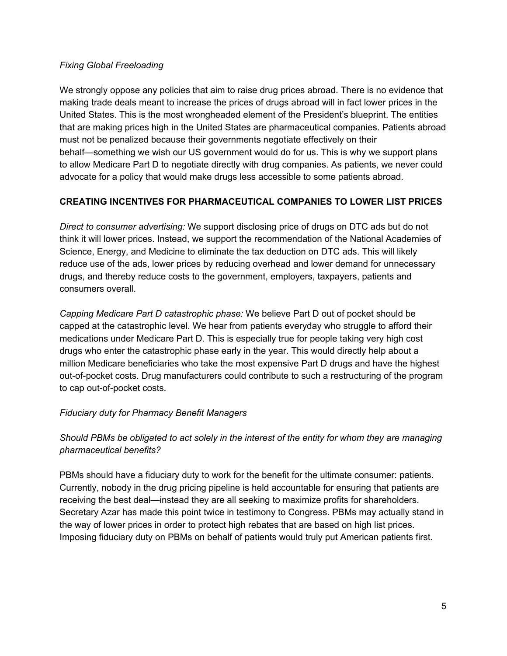#### *Fixing Global Freeloading*

We strongly oppose any policies that aim to raise drug prices abroad. There is no evidence that making trade deals meant to increase the prices of drugs abroad will in fact lower prices in the United States. This is the most wrongheaded element of the President's blueprint. The entities that are making prices high in the United States are pharmaceutical companies. Patients abroad must not be penalized because their governments negotiate effectively on their behalf—something we wish our US government would do for us. This is why we support plans to allow Medicare Part D to negotiate directly with drug companies. As patients, we never could advocate for a policy that would make drugs less accessible to some patients abroad.

## **CREATING INCENTIVES FOR PHARMACEUTICAL COMPANIES TO LOWER LIST PRICES**

*Direct to consumer advertising:* We support disclosing price of drugs on DTC ads but do not think it will lower prices. Instead, we support the recommendation of the National Academies of Science, Energy, and Medicine to eliminate the tax deduction on DTC ads. This will likely reduce use of the ads, lower prices by reducing overhead and lower demand for unnecessary drugs, and thereby reduce costs to the government, employers, taxpayers, patients and consumers overall.

*Capping Medicare Part D catastrophic phase:* We believe Part D out of pocket should be capped at the catastrophic level. We hear from patients everyday who struggle to afford their medications under Medicare Part D. This is especially true for people taking very high cost drugs who enter the catastrophic phase early in the year. This would directly help about a million Medicare beneficiaries who take the most expensive Part D drugs and have the highest out-of-pocket costs. Drug manufacturers could contribute to such a restructuring of the program to cap out-of-pocket costs.

## *Fiduciary duty for Pharmacy Benefit Managers*

# *Should PBMs be obligated to act solely in the interest of the entity for whom they are managing pharmaceutical benefits?*

PBMs should have a fiduciary duty to work for the benefit for the ultimate consumer: patients. Currently, nobody in the drug pricing pipeline is held accountable for ensuring that patients are receiving the best deal—instead they are all seeking to maximize profits for shareholders. Secretary Azar has made this point twice in testimony to Congress. PBMs may actually stand in the way of lower prices in order to protect high rebates that are based on high list prices. Imposing fiduciary duty on PBMs on behalf of patients would truly put American patients first.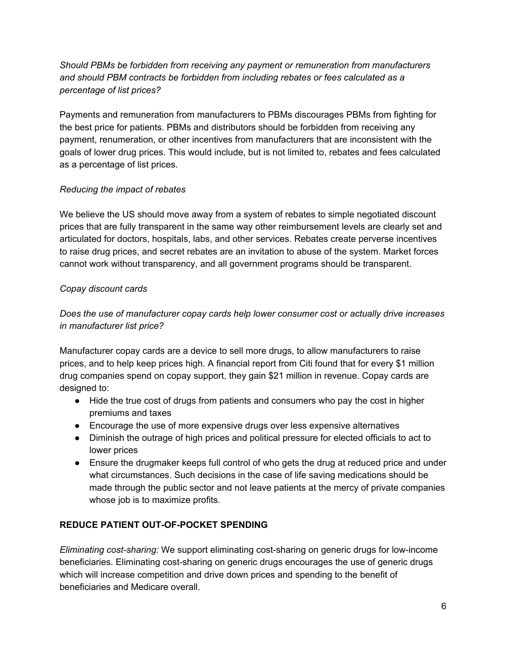# *Should PBMs be forbidden from receiving any payment or remuneration from manufacturers and should PBM contracts be forbidden from including rebates or fees calculated as a percentage of list prices?*

Payments and remuneration from manufacturers to PBMs discourages PBMs from fighting for the best price for patients. PBMs and distributors should be forbidden from receiving any payment, renumeration, or other incentives from manufacturers that are inconsistent with the goals of lower drug prices. This would include, but is not limited to, rebates and fees calculated as a percentage of list prices.

# *Reducing the impact of rebates*

We believe the US should move away from a system of rebates to simple negotiated discount prices that are fully transparent in the same way other reimbursement levels are clearly set and articulated for doctors, hospitals, labs, and other services. Rebates create perverse incentives to raise drug prices, and secret rebates are an invitation to abuse of the system. Market forces cannot work without transparency, and all government programs should be transparent.

# *Copay discount cards*

# *Does the use of manufacturer copay cards help lower consumer cost or actually drive increases in manufacturer list price?*

Manufacturer copay cards are a device to sell more drugs, to allow manufacturers to raise prices, and to help keep prices high. A financial report from Citi found that for every \$1 million drug companies spend on copay support, they gain \$21 million in revenue. Copay cards are designed to:

- Hide the true cost of drugs from patients and consumers who pay the cost in higher premiums and taxes
- Encourage the use of more expensive drugs over less expensive alternatives
- Diminish the outrage of high prices and political pressure for elected officials to act to lower prices
- Ensure the drugmaker keeps full control of who gets the drug at reduced price and under what circumstances. Such decisions in the case of life saving medications should be made through the public sector and not leave patients at the mercy of private companies whose job is to maximize profits.

# **REDUCE PATIENT OUT-OF-POCKET SPENDING**

*Eliminating cost-sharing:* We support eliminating cost-sharing on generic drugs for low-income beneficiaries. Eliminating cost-sharing on generic drugs encourages the use of generic drugs which will increase competition and drive down prices and spending to the benefit of beneficiaries and Medicare overall.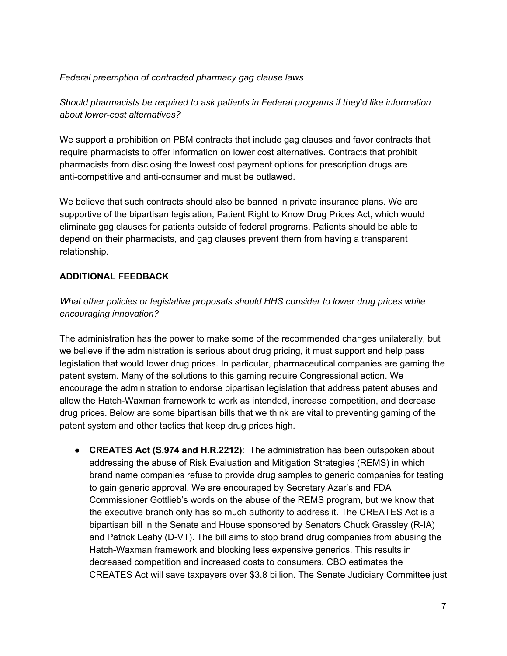#### *Federal preemption of contracted pharmacy gag clause laws*

*Should pharmacists be required to ask patients in Federal programs if they'd like information about lower-cost alternatives?*

We support a prohibition on PBM contracts that include gag clauses and favor contracts that require pharmacists to offer information on lower cost alternatives. Contracts that prohibit pharmacists from disclosing the lowest cost payment options for prescription drugs are anti-competitive and anti-consumer and must be outlawed.

We believe that such contracts should also be banned in private insurance plans. We are supportive of the bipartisan legislation, Patient Right to Know Drug Prices Act, which would eliminate gag clauses for patients outside of federal programs. Patients should be able to depend on their pharmacists, and gag clauses prevent them from having a transparent relationship.

#### **ADDITIONAL FEEDBACK**

*What other policies or legislative proposals should HHS consider to lower drug prices while encouraging innovation?*

The administration has the power to make some of the recommended changes unilaterally, but we believe if the administration is serious about drug pricing, it must support and help pass legislation that would lower drug prices. In particular, pharmaceutical companies are gaming the patent system. Many of the solutions to this gaming require Congressional action. We encourage the administration to endorse bipartisan legislation that address patent abuses and allow the Hatch-Waxman framework to work as intended, increase competition, and decrease drug prices. Below are some bipartisan bills that we think are vital to preventing gaming of the patent system and other tactics that keep drug prices high.

● **CREATES Act (S.974 and H.R.2212)**: The administration has been outspoken about addressing the abuse of Risk Evaluation and Mitigation Strategies (REMS) in which brand name companies refuse to provide drug samples to generic companies for testing to gain generic approval. We are encouraged by Secretary Azar's and FDA Commissioner Gottlieb's words on the abuse of the REMS program, but we know that the executive branch only has so much authority to address it. The CREATES Act is a bipartisan bill in the Senate and House sponsored by Senators Chuck Grassley (R-IA) and Patrick Leahy (D-VT). The bill aims to stop brand drug companies from abusing the Hatch-Waxman framework and blocking less expensive generics. This results in decreased competition and increased costs to consumers. CBO estimates the CREATES Act will save taxpayers over \$3.8 billion. The Senate Judiciary Committee just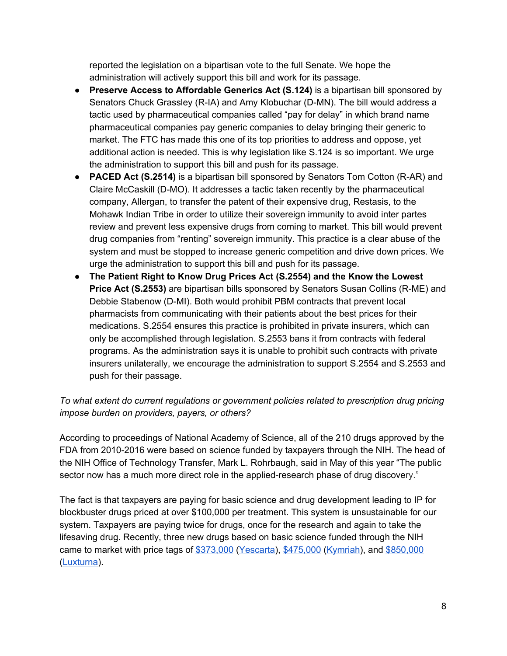reported the legislation on a bipartisan vote to the full Senate. We hope the administration will actively support this bill and work for its passage.

- **Preserve Access to Affordable Generics Act (S.124)** is a bipartisan bill sponsored by Senators Chuck Grassley (R-IA) and Amy Klobuchar (D-MN). The bill would address a tactic used by pharmaceutical companies called "pay for delay" in which brand name pharmaceutical companies pay generic companies to delay bringing their generic to market. The FTC has made this one of its top priorities to address and oppose, yet additional action is needed. This is why legislation like S.124 is so important. We urge the administration to support this bill and push for its passage.
- **PACED Act (S.2514)** is a bipartisan bill sponsored by Senators Tom Cotton (R-AR) and Claire McCaskill (D-MO). It addresses a tactic taken recently by the pharmaceutical company, Allergan, to transfer the patent of their expensive drug, Restasis, to the Mohawk Indian Tribe in order to utilize their sovereign immunity to avoid inter partes review and prevent less expensive drugs from coming to market. This bill would prevent drug companies from "renting" sovereign immunity. This practice is a clear abuse of the system and must be stopped to increase generic competition and drive down prices. We urge the administration to support this bill and push for its passage.
- **The Patient Right to Know Drug Prices Act (S.2554) and the Know the Lowest Price Act (S.2553)** are bipartisan bills sponsored by Senators Susan Collins (R-ME) and Debbie Stabenow (D-MI). Both would prohibit PBM contracts that prevent local pharmacists from communicating with their patients about the best prices for their medications. S.2554 ensures this practice is prohibited in private insurers, which can only be accomplished through legislation. S.2553 bans it from contracts with federal programs. As the administration says it is unable to prohibit such contracts with private insurers unilaterally, we encourage the administration to support S.2554 and S.2553 and push for their passage.

# *To what extent do current regulations or government policies related to prescription drug pricing impose burden on providers, payers, or others?*

According to proceedings of National Academy of Science, all of the 210 drugs approved by the FDA from 2010-2016 were based on science funded by taxpayers through the NIH. The head of the NIH Office of Technology Transfer, Mark L. Rohrbaugh, said in May of this year "The public sector now has a much more direct role in the applied-research phase of drug discovery."

The fact is that taxpayers are paying for basic science and drug development leading to IP for blockbuster drugs priced at over \$100,000 per treatment. This system is unsustainable for our system. Taxpayers are paying twice for drugs, once for the research and again to take the lifesaving drug. Recently, three new drugs based on basic science funded through the NIH came to market with price tags of [\\$373,000](https://www.reuters.com/article/us-gilead-sciences-fda/fda-approves-gilead-cancer-gene-therapy-price-set-at-373000-idUSKBN1CN35H) ([Yescarta](https://www.nytimes.com/2016/12/19/health/harnessing-the-us-taxpayer-to-fight-cancer-and-make-profits.html?_r=1)), [\\$475,000](https://www.fiercepharma.com/pharma/at-475-000-per-treatment-novartis-kymriah-a-bargain-or-just-another-example-skyrocketing) [\(Kymriah\)](https://www.nytimes.com/2016/12/19/health/harnessing-the-us-taxpayer-to-fight-cancer-and-make-profits.html?_r=1), and [\\$850,000](https://www.fiercepharma.com/pharma/spark-prices-gene-therapy-luxturna-at-850k-grabbing-top-spot-pharma-s-costliest-drugs) ([Luxturna](https://www.ncbi.nlm.nih.gov/pmc/articles/PMC5738963/)).